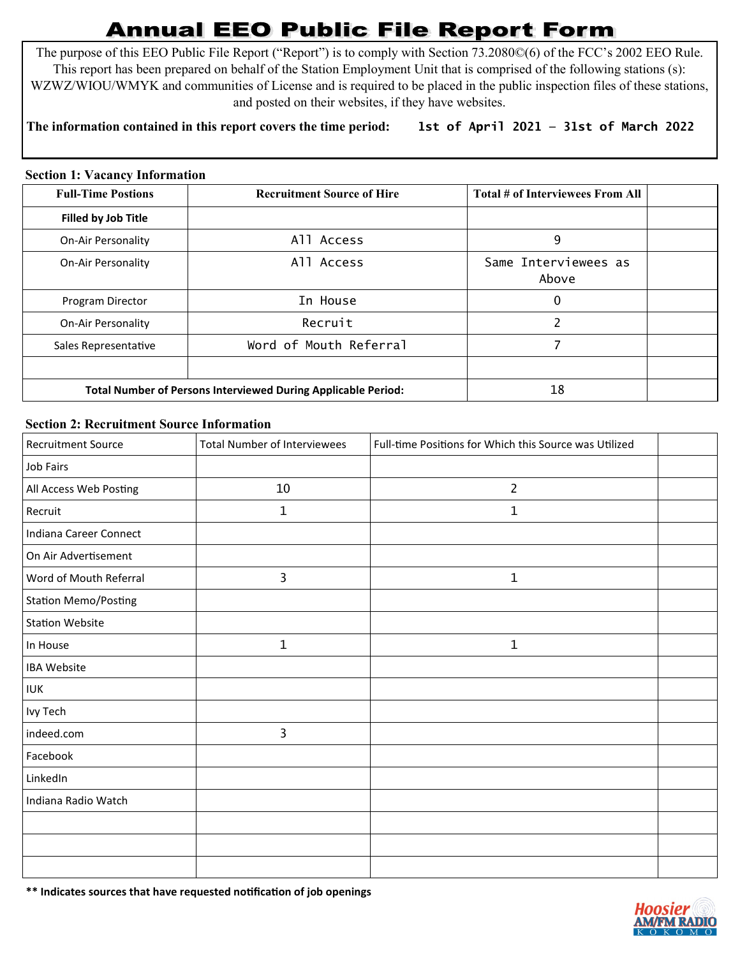## **Annual EEO Public File Report Form**

The purpose of this EEO Public File Report ("Report") is to comply with Section 73.2080©(6) of the FCC's 2002 EEO Rule. This report has been prepared on behalf of the Station Employment Unit that is comprised of the following stations (s): WZWZ/WIOU/WMYK and communities of License and is required to be placed in the public inspection files of these stations, and posted on their websites, if they have websites.

## **The information contained in this report covers the time period: 1st of April 2021 — 31st of March 2022**

## **Section 1: Vacancy Information**

| <b>Full-Time Postions</b>  | <b>Recruitment Source of Hire</b>                                    | Total # of Interviewees From All |  |
|----------------------------|----------------------------------------------------------------------|----------------------------------|--|
| <b>Filled by Job Title</b> |                                                                      |                                  |  |
| On-Air Personality         | All Access                                                           | 9                                |  |
| <b>On-Air Personality</b>  | All Access                                                           | Same Interviewees as<br>Above    |  |
| Program Director           | In House                                                             | 0                                |  |
| <b>On-Air Personality</b>  | Recruit                                                              | 2                                |  |
| Sales Representative       | Word of Mouth Referral                                               |                                  |  |
|                            |                                                                      |                                  |  |
|                            | <b>Total Number of Persons Interviewed During Applicable Period:</b> | 18                               |  |

## **Section 2: Recruitment Source Information**

| <b>Recruitment Source</b>   | <b>Total Number of Interviewees</b> | Full-time Positions for Which this Source was Utilized |  |
|-----------------------------|-------------------------------------|--------------------------------------------------------|--|
| Job Fairs                   |                                     |                                                        |  |
| All Access Web Posting      | 10                                  | $\overline{2}$                                         |  |
| Recruit                     | $\mathbf 1$                         | 1                                                      |  |
| Indiana Career Connect      |                                     |                                                        |  |
| On Air Advertisement        |                                     |                                                        |  |
| Word of Mouth Referral      | 3                                   | $\mathbf 1$                                            |  |
| <b>Station Memo/Posting</b> |                                     |                                                        |  |
| <b>Station Website</b>      |                                     |                                                        |  |
| In House                    | $\mathbf 1$                         | 1                                                      |  |
| <b>IBA Website</b>          |                                     |                                                        |  |
| <b>IUK</b>                  |                                     |                                                        |  |
| Ivy Tech                    |                                     |                                                        |  |
| indeed.com                  | 3                                   |                                                        |  |
| Facebook                    |                                     |                                                        |  |
| LinkedIn                    |                                     |                                                        |  |
| Indiana Radio Watch         |                                     |                                                        |  |
|                             |                                     |                                                        |  |
|                             |                                     |                                                        |  |
|                             |                                     |                                                        |  |

**\*\* Indicates sources that have requested notification of job openings**